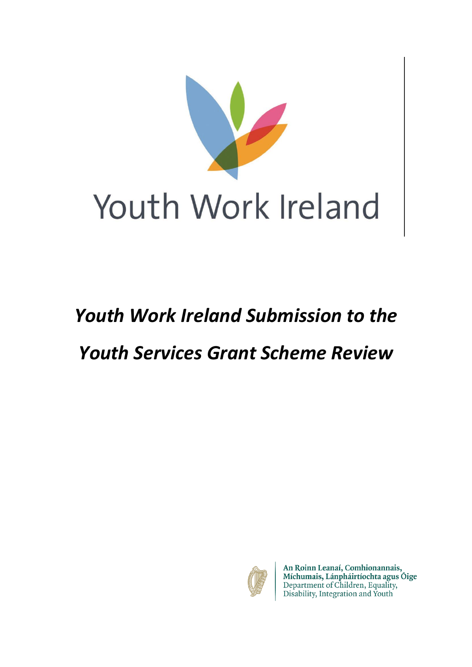

# *Youth Work Ireland Submission to the*

## *Youth Services Grant Scheme Review*



An Roinn Leanaí, Comhionannais,<br>Míchumais, Lánpháirtíochta agus Óige<br>Department of Children, Equality,<br>Disability, Integration and Youth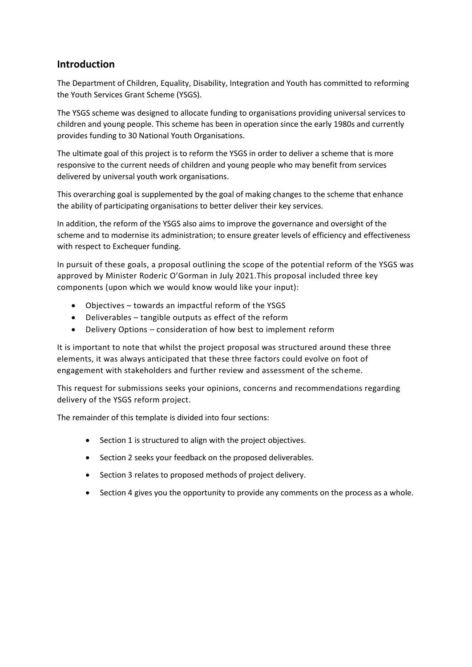### **Introduction**

The Department of Children, Equality, Disability, Integration and Youth has committed to reforming the Youth Services Grant Scheme (YSGS).

The YSGS scheme was designed to allocate funding to organisations providing universal services to children and young people. This scheme has been in operation since the early 1980s and currently provides funding to 30 National Youth Organisations.

The ultimate goal of this project is to reform the YSGS in order to deliver a scheme that is more responsive to the current needs of children and young people who may benefit from services delivered by universal youth work organisations.

This overarching goal is supplemented by the goal of making changes to the scheme that enhance the ability of participating organisations to better deliver their key services.

In addition, the reform of the YSGS also aims to improve the governance and oversight of the scheme and to modernise its administration; to ensure greater levels of efficiency and effectiveness with respect to Exchequer funding.

In pursuit of these goals, a proposal outlining the scope of the potential reform of the YSGS was approved by Minister Roderic O'Gorman in July 2021.This proposal included three key components (upon which we would know would like your input):

- Objectives towards an impactful reform of the YSGS
- Deliverables tangible outputs as effect of the reform
- Delivery Options consideration of how best to implement reform

It is important to note that whilst the project proposal was structured around these three elements, it was always anticipated that these three factors could evolve on foot of engagement with stakeholders and further review and assessment of the scheme.

This request for submissions seeks your opinions, concerns and recommendations regarding delivery of the YSGS reform project.

The remainder of this template is divided into four sections:

- Section 1 is structured to align with the project objectives.
- Section 2 seeks your feedback on the proposed deliverables.
- Section 3 relates to proposed methods of project delivery.
- Section 4 gives you the opportunity to provide any comments on the process as a whole.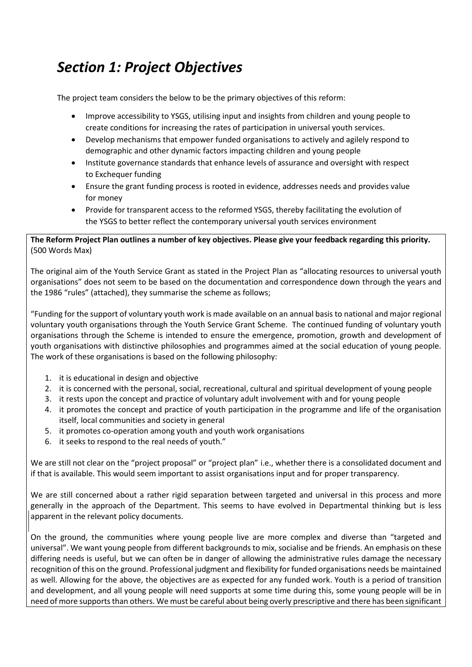### *Section 1: Project Objectives*

The project team considers the below to be the primary objectives of this reform:

- Improve accessibility to YSGS, utilising input and insights from children and young people to create conditions for increasing the rates of participation in universal youth services.
- Develop mechanisms that empower funded organisations to actively and agilely respond to demographic and other dynamic factors impacting children and young people
- Institute governance standards that enhance levels of assurance and oversight with respect to Exchequer funding
- Ensure the grant funding process is rooted in evidence, addresses needs and provides value for money
- Provide for transparent access to the reformed YSGS, thereby facilitating the evolution of the YSGS to better reflect the contemporary universal youth services environment

### **The Reform Project Plan outlines a number of key objectives. Please give your feedback regarding this priority.** (500 Words Max)

The original aim of the Youth Service Grant as stated in the Project Plan as "allocating resources to universal youth organisations" does not seem to be based on the documentation and correspondence down through the years and the 1986 "rules" (attached), they summarise the scheme as follows;

"Funding for the support of voluntary youth work is made available on an annual basis to national and major regional voluntary youth organisations through the Youth Service Grant Scheme. The continued funding of voluntary youth organisations through the Scheme is intended to ensure the emergence, promotion, growth and development of youth organisations with distinctive philosophies and programmes aimed at the social education of young people. The work of these organisations is based on the following philosophy:

- 1. it is educational in design and objective
- 2. it is concerned with the personal, social, recreational, cultural and spiritual development of young people
- 3. it rests upon the concept and practice of voluntary adult involvement with and for young people
- 4. it promotes the concept and practice of youth participation in the programme and life of the organisation itself, local communities and society in general
- 5. it promotes co-operation among youth and youth work organisations
- 6. it seeks to respond to the real needs of youth."

We are still not clear on the "project proposal" or "project plan" i.e., whether there is a consolidated document and if that is available. This would seem important to assist organisations input and for proper transparency.

We are still concerned about a rather rigid separation between targeted and universal in this process and more generally in the approach of the Department. This seems to have evolved in Departmental thinking but is less apparent in the relevant policy documents.

On the ground, the communities where young people live are more complex and diverse than "targeted and universal". We want young people from different backgrounds to mix, socialise and be friends. An emphasis on these differing needs is useful, but we can often be in danger of allowing the administrative rules damage the necessary recognition of this on the ground. Professional judgment and flexibility for funded organisations needs be maintained as well. Allowing for the above, the objectives are as expected for any funded work. Youth is a period of transition and development, and all young people will need supports at some time during this, some young people will be in need of more supports than others. We must be careful about being overly prescriptive and there has been significant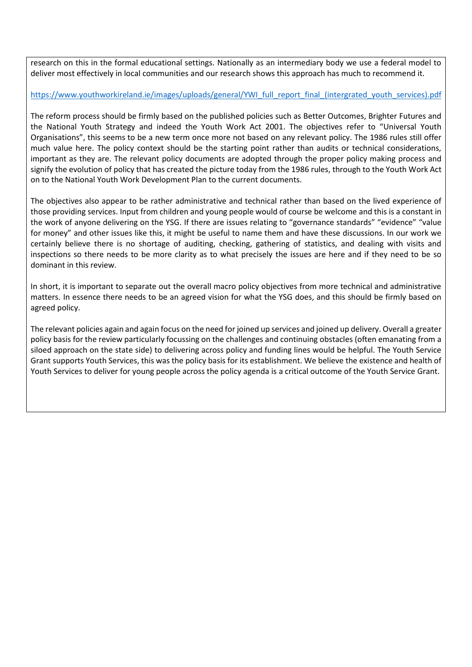research on this in the formal educational settings. Nationally as an intermediary body we use a federal model to deliver most effectively in local communities and our research shows this approach has much to recommend it.

### [https://www.youthworkireland.ie/images/uploads/general/YWI\\_full\\_report\\_final\\_\(intergrated\\_youth\\_services\).pdf](about:blank)

The reform process should be firmly based on the published policies such as Better Outcomes, Brighter Futures and the National Youth Strategy and indeed the Youth Work Act 2001. The objectives refer to "Universal Youth Organisations", this seems to be a new term once more not based on any relevant policy. The 1986 rules still offer much value here. The policy context should be the starting point rather than audits or technical considerations, important as they are. The relevant policy documents are adopted through the proper policy making process and signify the evolution of policy that has created the picture today from the 1986 rules, through to the Youth Work Act on to the National Youth Work Development Plan to the current documents.

The objectives also appear to be rather administrative and technical rather than based on the lived experience of those providing services. Input from children and young people would of course be welcome and this is a constant in the work of anyone delivering on the YSG. If there are issues relating to "governance standards" "evidence" "value for money" and other issues like this, it might be useful to name them and have these discussions. In our work we certainly believe there is no shortage of auditing, checking, gathering of statistics, and dealing with visits and inspections so there needs to be more clarity as to what precisely the issues are here and if they need to be so dominant in this review.

In short, it is important to separate out the overall macro policy objectives from more technical and administrative matters. In essence there needs to be an agreed vision for what the YSG does, and this should be firmly based on agreed policy.

The relevant policies again and again focus on the need for joined up services and joined up delivery. Overall a greater policy basis for the review particularly focussing on the challenges and continuing obstacles (often emanating from a siloed approach on the state side) to delivering across policy and funding lines would be helpful. The Youth Service Grant supports Youth Services, this was the policy basis for its establishment. We believe the existence and health of Youth Services to deliver for young people across the policy agenda is a critical outcome of the Youth Service Grant.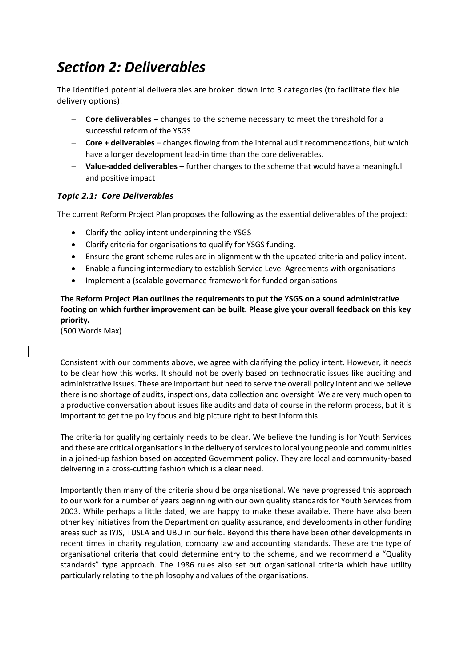### *Section 2: Deliverables*

The identified potential deliverables are broken down into 3 categories (to facilitate flexible delivery options):

- − **Core deliverables** changes to the scheme necessary to meet the threshold for a successful reform of the YSGS
- − **Core + deliverables** changes flowing from the internal audit recommendations, but which have a longer development lead-in time than the core deliverables.
- − **Value-added deliverables** further changes to the scheme that would have a meaningful and positive impact

### *Topic 2.1: Core Deliverables*

The current Reform Project Plan proposes the following as the essential deliverables of the project:

- Clarify the policy intent underpinning the YSGS
- Clarify criteria for organisations to qualify for YSGS funding.
- Ensure the grant scheme rules are in alignment with the updated criteria and policy intent.
- Enable a funding intermediary to establish Service Level Agreements with organisations
- Implement a (scalable governance framework for funded organisations

**The Reform Project Plan outlines the requirements to put the YSGS on a sound administrative footing on which further improvement can be built. Please give your overall feedback on this key priority.**

(500 Words Max)

Consistent with our comments above, we agree with clarifying the policy intent. However, it needs to be clear how this works. It should not be overly based on technocratic issues like auditing and administrative issues. These are important but need to serve the overall policy intent and we believe there is no shortage of audits, inspections, data collection and oversight. We are very much open to a productive conversation about issues like audits and data of course in the reform process, but it is important to get the policy focus and big picture right to best inform this.

The criteria for qualifying certainly needs to be clear. We believe the funding is for Youth Services and these are critical organisations in the delivery of services to local young people and communities in a joined-up fashion based on accepted Government policy. They are local and community-based delivering in a cross-cutting fashion which is a clear need.

Importantly then many of the criteria should be organisational. We have progressed this approach to our work for a number of years beginning with our own quality standards for Youth Services from 2003. While perhaps a little dated, we are happy to make these available. There have also been other key initiatives from the Department on quality assurance, and developments in other funding areas such as IYJS, TUSLA and UBU in our field. Beyond this there have been other developments in recent times in charity regulation, company law and accounting standards. These are the type of organisational criteria that could determine entry to the scheme, and we recommend a "Quality standards" type approach. The 1986 rules also set out organisational criteria which have utility particularly relating to the philosophy and values of the organisations.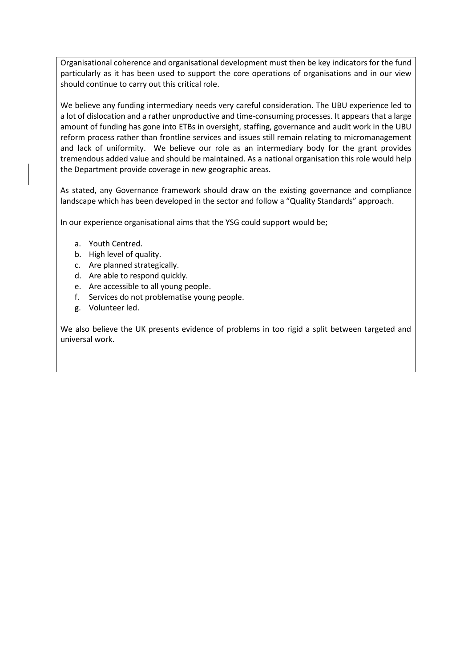Organisational coherence and organisational development must then be key indicators for the fund particularly as it has been used to support the core operations of organisations and in our view should continue to carry out this critical role.

We believe any funding intermediary needs very careful consideration. The UBU experience led to a lot of dislocation and a rather unproductive and time-consuming processes. It appears that a large amount of funding has gone into ETBs in oversight, staffing, governance and audit work in the UBU reform process rather than frontline services and issues still remain relating to micromanagement and lack of uniformity. We believe our role as an intermediary body for the grant provides tremendous added value and should be maintained. As a national organisation this role would help the Department provide coverage in new geographic areas.

As stated, any Governance framework should draw on the existing governance and compliance landscape which has been developed in the sector and follow a "Quality Standards" approach.

In our experience organisational aims that the YSG could support would be;

- a. Youth Centred.
- b. High level of quality.
- c. Are planned strategically.
- d. Are able to respond quickly.
- e. Are accessible to all young people.
- f. Services do not problematise young people.
- g. Volunteer led.

We also believe the UK presents evidence of problems in too rigid a split between targeted and universal work.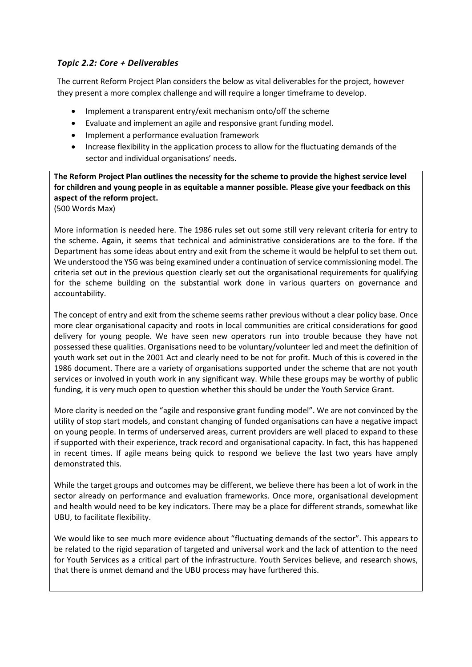### *Topic 2.2: Core + Deliverables*

The current Reform Project Plan considers the below as vital deliverables for the project, however they present a more complex challenge and will require a longer timeframe to develop.

- Implement a transparent entry/exit mechanism onto/off the scheme
- Evaluate and implement an agile and responsive grant funding model.
- Implement a performance evaluation framework
- Increase flexibility in the application process to allow for the fluctuating demands of the sector and individual organisations' needs.

**The Reform Project Plan outlines the necessity for the scheme to provide the highest service level for children and young people in as equitable a manner possible. Please give your feedback on this aspect of the reform project.** 

(500 Words Max)

More information is needed here. The 1986 rules set out some still very relevant criteria for entry to the scheme. Again, it seems that technical and administrative considerations are to the fore. If the Department has some ideas about entry and exit from the scheme it would be helpful to set them out. We understood the YSG was being examined under a continuation of service commissioning model. The criteria set out in the previous question clearly set out the organisational requirements for qualifying for the scheme building on the substantial work done in various quarters on governance and accountability.

The concept of entry and exit from the scheme seems rather previous without a clear policy base. Once more clear organisational capacity and roots in local communities are critical considerations for good delivery for young people. We have seen new operators run into trouble because they have not possessed these qualities. Organisations need to be voluntary/volunteer led and meet the definition of youth work set out in the 2001 Act and clearly need to be not for profit. Much of this is covered in the 1986 document. There are a variety of organisations supported under the scheme that are not youth services or involved in youth work in any significant way. While these groups may be worthy of public funding, it is very much open to question whether this should be under the Youth Service Grant.

More clarity is needed on the "agile and responsive grant funding model". We are not convinced by the utility of stop start models, and constant changing of funded organisations can have a negative impact on young people. In terms of underserved areas, current providers are well placed to expand to these if supported with their experience, track record and organisational capacity. In fact, this has happened in recent times. If agile means being quick to respond we believe the last two years have amply demonstrated this.

While the target groups and outcomes may be different, we believe there has been a lot of work in the sector already on performance and evaluation frameworks. Once more, organisational development and health would need to be key indicators. There may be a place for different strands, somewhat like UBU, to facilitate flexibility.

We would like to see much more evidence about "fluctuating demands of the sector". This appears to be related to the rigid separation of targeted and universal work and the lack of attention to the need for Youth Services as a critical part of the infrastructure. Youth Services believe, and research shows, that there is unmet demand and the UBU process may have furthered this.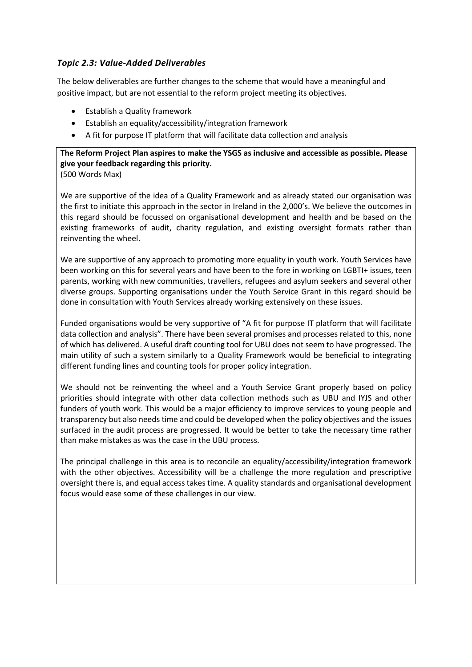### *Topic 2.3: Value-Added Deliverables*

The below deliverables are further changes to the scheme that would have a meaningful and positive impact, but are not essential to the reform project meeting its objectives.

- Establish a Quality framework
- Establish an equality/accessibility/integration framework
- A fit for purpose IT platform that will facilitate data collection and analysis

**The Reform Project Plan aspires to make the YSGS as inclusive and accessible as possible. Please give your feedback regarding this priority.**

(500 Words Max)

We are supportive of the idea of a Quality Framework and as already stated our organisation was the first to initiate this approach in the sector in Ireland in the 2,000's. We believe the outcomes in this regard should be focussed on organisational development and health and be based on the existing frameworks of audit, charity regulation, and existing oversight formats rather than reinventing the wheel.

We are supportive of any approach to promoting more equality in youth work. Youth Services have been working on this for several years and have been to the fore in working on LGBTI+ issues, teen parents, working with new communities, travellers, refugees and asylum seekers and several other diverse groups. Supporting organisations under the Youth Service Grant in this regard should be done in consultation with Youth Services already working extensively on these issues.

Funded organisations would be very supportive of "A fit for purpose IT platform that will facilitate data collection and analysis". There have been several promises and processes related to this, none of which has delivered. A useful draft counting tool for UBU does not seem to have progressed. The main utility of such a system similarly to a Quality Framework would be beneficial to integrating different funding lines and counting tools for proper policy integration.

We should not be reinventing the wheel and a Youth Service Grant properly based on policy priorities should integrate with other data collection methods such as UBU and IYJS and other funders of youth work. This would be a major efficiency to improve services to young people and transparency but also needs time and could be developed when the policy objectives and the issues surfaced in the audit process are progressed. It would be better to take the necessary time rather than make mistakes as was the case in the UBU process.

The principal challenge in this area is to reconcile an equality/accessibility/integration framework with the other objectives. Accessibility will be a challenge the more regulation and prescriptive oversight there is, and equal access takes time. A quality standards and organisational development focus would ease some of these challenges in our view.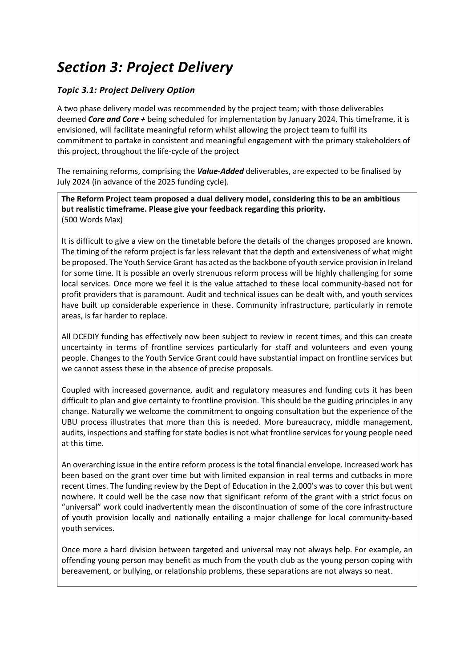### *Section 3: Project Delivery*

### *Topic 3.1: Project Delivery Option*

A two phase delivery model was recommended by the project team; with those deliverables deemed *Core and Core +* being scheduled for implementation by January 2024. This timeframe, it is envisioned, will facilitate meaningful reform whilst allowing the project team to fulfil its commitment to partake in consistent and meaningful engagement with the primary stakeholders of this project, throughout the life-cycle of the project

The remaining reforms, comprising the *Value-Added* deliverables, are expected to be finalised by July 2024 (in advance of the 2025 funding cycle).

**The Reform Project team proposed a dual delivery model, considering this to be an ambitious but realistic timeframe. Please give your feedback regarding this priority.** (500 Words Max)

It is difficult to give a view on the timetable before the details of the changes proposed are known. The timing of the reform project is far less relevant that the depth and extensiveness of what might be proposed. The Youth Service Grant has acted as the backbone of youth service provision in Ireland for some time. It is possible an overly strenuous reform process will be highly challenging for some local services. Once more we feel it is the value attached to these local community-based not for profit providers that is paramount. Audit and technical issues can be dealt with, and youth services have built up considerable experience in these. Community infrastructure, particularly in remote areas, is far harder to replace.

All DCEDIY funding has effectively now been subject to review in recent times, and this can create uncertainty in terms of frontline services particularly for staff and volunteers and even young people. Changes to the Youth Service Grant could have substantial impact on frontline services but we cannot assess these in the absence of precise proposals.

Coupled with increased governance, audit and regulatory measures and funding cuts it has been difficult to plan and give certainty to frontline provision. This should be the guiding principles in any change. Naturally we welcome the commitment to ongoing consultation but the experience of the UBU process illustrates that more than this is needed. More bureaucracy, middle management, audits, inspections and staffing for state bodies is not what frontline services for young people need at this time.

An overarching issue in the entire reform process is the total financial envelope. Increased work has been based on the grant over time but with limited expansion in real terms and cutbacks in more recent times. The funding review by the Dept of Education in the 2,000's was to cover this but went nowhere. It could well be the case now that significant reform of the grant with a strict focus on "universal" work could inadvertently mean the discontinuation of some of the core infrastructure of youth provision locally and nationally entailing a major challenge for local community-based youth services.

Once more a hard division between targeted and universal may not always help. For example, an offending young person may benefit as much from the youth club as the young person coping with bereavement, or bullying, or relationship problems, these separations are not always so neat.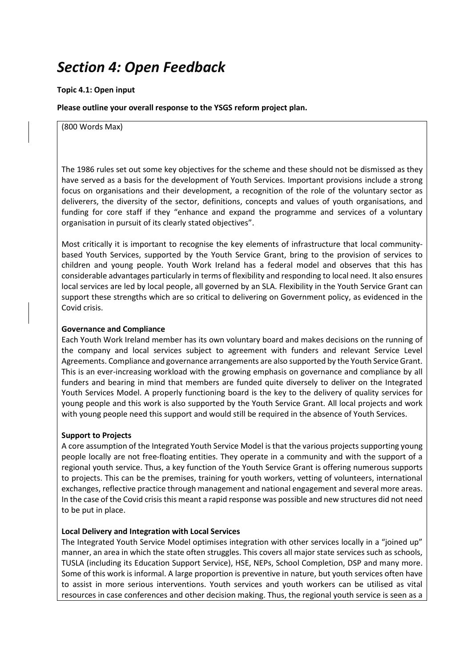### *Section 4: Open Feedback*

#### **Topic 4.1: Open input**

**Please outline your overall response to the YSGS reform project plan.** 

(800 Words Max)

The 1986 rules set out some key objectives for the scheme and these should not be dismissed as they have served as a basis for the development of Youth Services. Important provisions include a strong focus on organisations and their development, a recognition of the role of the voluntary sector as deliverers, the diversity of the sector, definitions, concepts and values of youth organisations, and funding for core staff if they "enhance and expand the programme and services of a voluntary organisation in pursuit of its clearly stated objectives".

Most critically it is important to recognise the key elements of infrastructure that local communitybased Youth Services, supported by the Youth Service Grant, bring to the provision of services to children and young people. Youth Work Ireland has a federal model and observes that this has considerable advantages particularly in terms of flexibility and responding to local need. It also ensures local services are led by local people, all governed by an SLA. Flexibility in the Youth Service Grant can support these strengths which are so critical to delivering on Government policy, as evidenced in the Covid crisis.

### **Governance and Compliance**

Each Youth Work Ireland member has its own voluntary board and makes decisions on the running of the company and local services subject to agreement with funders and relevant Service Level Agreements. Compliance and governance arrangements are also supported by the Youth Service Grant. This is an ever-increasing workload with the growing emphasis on governance and compliance by all funders and bearing in mind that members are funded quite diversely to deliver on the Integrated Youth Services Model. A properly functioning board is the key to the delivery of quality services for young people and this work is also supported by the Youth Service Grant. All local projects and work with young people need this support and would still be required in the absence of Youth Services.

#### **Support to Projects**

A core assumption of the Integrated Youth Service Model is that the various projects supporting young people locally are not free-floating entities. They operate in a community and with the support of a regional youth service. Thus, a key function of the Youth Service Grant is offering numerous supports to projects. This can be the premises, training for youth workers, vetting of volunteers, international exchanges, reflective practice through management and national engagement and several more areas. In the case of the Covid crisis this meant a rapid response was possible and new structures did not need to be put in place.

### **Local Delivery and Integration with Local Services**

The Integrated Youth Service Model optimises integration with other services locally in a "joined up" manner, an area in which the state often struggles. This covers all major state services such as schools, TUSLA (including its Education Support Service), HSE, NEPs, School Completion, DSP and many more. Some of this work is informal. A large proportion is preventive in nature, but youth services often have to assist in more serious interventions. Youth services and youth workers can be utilised as vital resources in case conferences and other decision making. Thus, the regional youth service is seen as a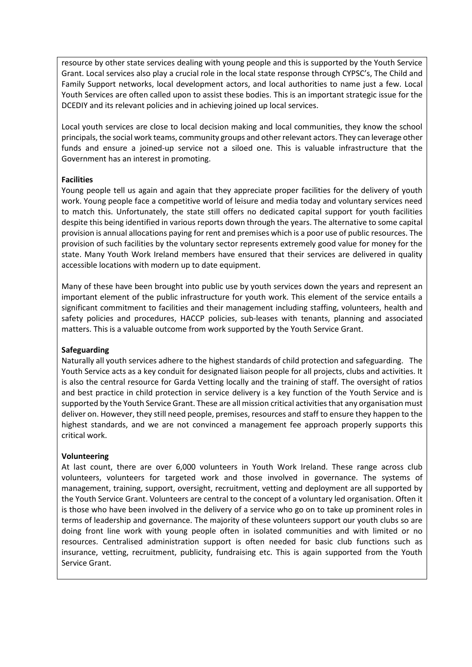resource by other state services dealing with young people and this is supported by the Youth Service Grant. Local services also play a crucial role in the local state response through CYPSC's, The Child and Family Support networks, local development actors, and local authorities to name just a few. Local Youth Services are often called upon to assist these bodies. This is an important strategic issue for the DCEDIY and its relevant policies and in achieving joined up local services.

Local youth services are close to local decision making and local communities, they know the school principals, the social work teams, community groups and other relevant actors. They can leverage other funds and ensure a joined-up service not a siloed one. This is valuable infrastructure that the Government has an interest in promoting.

### **Facilities**

Young people tell us again and again that they appreciate proper facilities for the delivery of youth work. Young people face a competitive world of leisure and media today and voluntary services need to match this. Unfortunately, the state still offers no dedicated capital support for youth facilities despite this being identified in various reports down through the years. The alternative to some capital provision is annual allocations paying for rent and premises which is a poor use of public resources. The provision of such facilities by the voluntary sector represents extremely good value for money for the state. Many Youth Work Ireland members have ensured that their services are delivered in quality accessible locations with modern up to date equipment.

Many of these have been brought into public use by youth services down the years and represent an important element of the public infrastructure for youth work. This element of the service entails a significant commitment to facilities and their management including staffing, volunteers, health and safety policies and procedures, HACCP policies, sub-leases with tenants, planning and associated matters. This is a valuable outcome from work supported by the Youth Service Grant.

#### **Safeguarding**

Naturally all youth services adhere to the highest standards of child protection and safeguarding. The Youth Service acts as a key conduit for designated liaison people for all projects, clubs and activities. It is also the central resource for Garda Vetting locally and the training of staff. The oversight of ratios and best practice in child protection in service delivery is a key function of the Youth Service and is supported by the Youth Service Grant. These are all mission critical activities that any organisation must deliver on. However, they still need people, premises, resources and staff to ensure they happen to the highest standards, and we are not convinced a management fee approach properly supports this critical work.

### **Volunteering**

At last count, there are over 6,000 volunteers in Youth Work Ireland. These range across club volunteers, volunteers for targeted work and those involved in governance. The systems of management, training, support, oversight, recruitment, vetting and deployment are all supported by the Youth Service Grant. Volunteers are central to the concept of a voluntary led organisation. Often it is those who have been involved in the delivery of a service who go on to take up prominent roles in terms of leadership and governance. The majority of these volunteers support our youth clubs so are doing front line work with young people often in isolated communities and with limited or no resources. Centralised administration support is often needed for basic club functions such as insurance, vetting, recruitment, publicity, fundraising etc. This is again supported from the Youth Service Grant.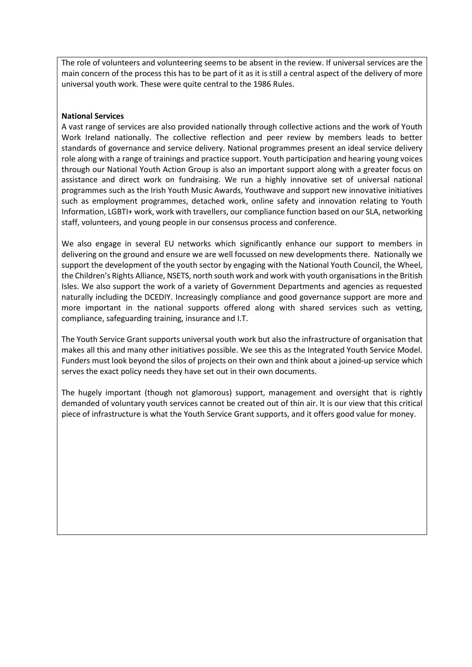The role of volunteers and volunteering seems to be absent in the review. If universal services are the main concern of the process this has to be part of it as it is still a central aspect of the delivery of more universal youth work. These were quite central to the 1986 Rules.

### **National Services**

A vast range of services are also provided nationally through collective actions and the work of Youth Work Ireland nationally. The collective reflection and peer review by members leads to better standards of governance and service delivery. National programmes present an ideal service delivery role along with a range of trainings and practice support. Youth participation and hearing young voices through our National Youth Action Group is also an important support along with a greater focus on assistance and direct work on fundraising. We run a highly innovative set of universal national programmes such as the Irish Youth Music Awards, Youthwave and support new innovative initiatives such as employment programmes, detached work, online safety and innovation relating to Youth Information, LGBTI+ work, work with travellers, our compliance function based on our SLA, networking staff, volunteers, and young people in our consensus process and conference.

We also engage in several EU networks which significantly enhance our support to members in delivering on the ground and ensure we are well focussed on new developments there. Nationally we support the development of the youth sector by engaging with the National Youth Council, the Wheel, the Children's Rights Alliance, NSETS, north south work and work with youth organisations in the British Isles. We also support the work of a variety of Government Departments and agencies as requested naturally including the DCEDIY. Increasingly compliance and good governance support are more and more important in the national supports offered along with shared services such as vetting, compliance, safeguarding training, insurance and I.T.

The Youth Service Grant supports universal youth work but also the infrastructure of organisation that makes all this and many other initiatives possible. We see this as the Integrated Youth Service Model. Funders must look beyond the silos of projects on their own and think about a joined-up service which serves the exact policy needs they have set out in their own documents.

The hugely important (though not glamorous) support, management and oversight that is rightly demanded of voluntary youth services cannot be created out of thin air. It is our view that this critical piece of infrastructure is what the Youth Service Grant supports, and it offers good value for money.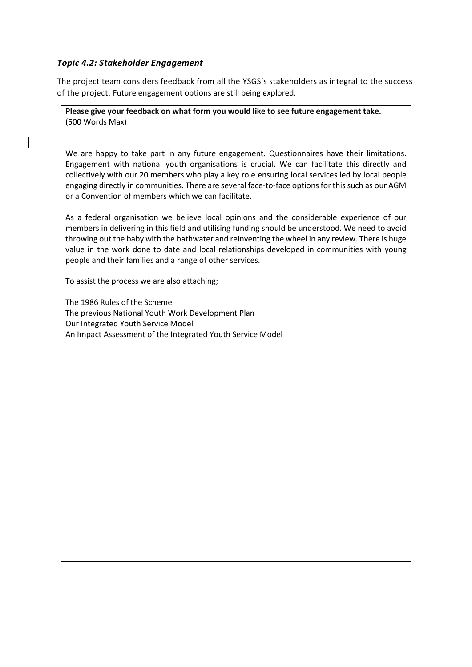### *Topic 4.2: Stakeholder Engagement*

The project team considers feedback from all the YSGS's stakeholders as integral to the success of the project. Future engagement options are still being explored.

**Please give your feedback on what form you would like to see future engagement take.** (500 Words Max)

We are happy to take part in any future engagement. Questionnaires have their limitations. Engagement with national youth organisations is crucial. We can facilitate this directly and collectively with our 20 members who play a key role ensuring local services led by local people engaging directly in communities. There are several face-to-face options for this such as our AGM or a Convention of members which we can facilitate.

As a federal organisation we believe local opinions and the considerable experience of our members in delivering in this field and utilising funding should be understood. We need to avoid throwing out the baby with the bathwater and reinventing the wheel in any review. There is huge value in the work done to date and local relationships developed in communities with young people and their families and a range of other services.

To assist the process we are also attaching;

The 1986 Rules of the Scheme The previous National Youth Work Development Plan Our Integrated Youth Service Model An Impact Assessment of the Integrated Youth Service Model